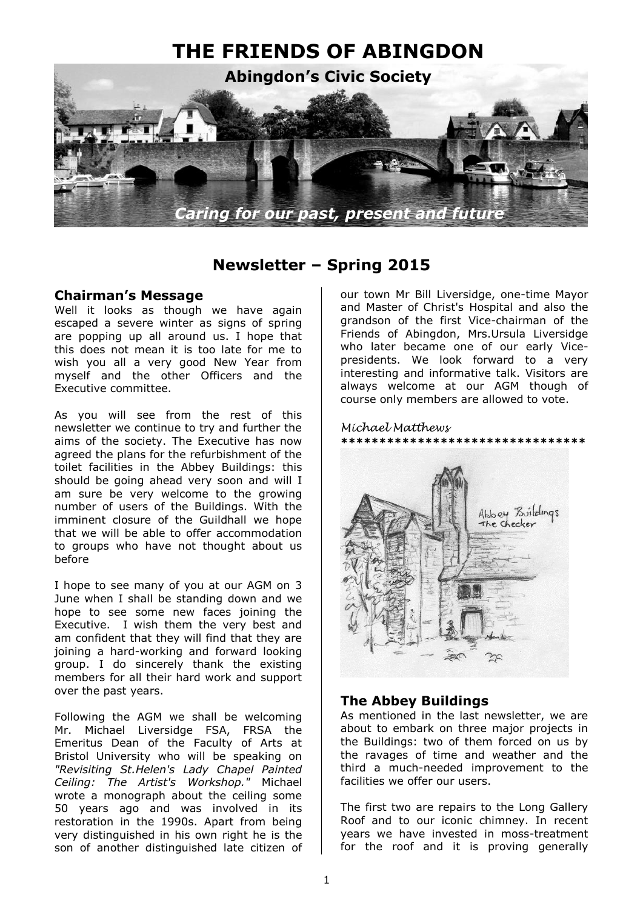

### **Newsletter – Spring 2015**

### **Chairman's Message**

Well it looks as though we have again escaped a severe winter as signs of spring are popping up all around us. I hope that this does not mean it is too late for me to wish you all a very good New Year from myself and the other Officers and the Executive committee.

As you will see from the rest of this newsletter we continue to try and further the aims of the society. The Executive has now agreed the plans for the refurbishment of the toilet facilities in the Abbey Buildings: this should be going ahead very soon and will I am sure be very welcome to the growing number of users of the Buildings. With the imminent closure of the Guildhall we hope that we will be able to offer accommodation to groups who have not thought about us before

I hope to see many of you at our AGM on 3 June when I shall be standing down and we hope to see some new faces joining the Executive. I wish them the very best and am confident that they will find that they are joining a hard-working and forward looking group. I do sincerely thank the existing members for all their hard work and support over the past years.

Following the AGM we shall be welcoming Mr. Michael Liversidge FSA, FRSA the Emeritus Dean of the Faculty of Arts at Bristol University who will be speaking on *"Revisiting St.Helen's Lady Chapel Painted Ceiling: The Artist's Workshop."* Michael wrote a monograph about the ceiling some 50 years ago and was involved in its restoration in the 1990s. Apart from being very distinguished in his own right he is the son of another distinguished late citizen of

our town Mr Bill Liversidge, one-time Mayor and Master of Christ's Hospital and also the grandson of the first Vice-chairman of the Friends of Abingdon, Mrs.Ursula Liversidge who later became one of our early Vicepresidents. We look forward to a very interesting and informative talk. Visitors are always welcome at our AGM though of course only members are allowed to vote.

#### *Michael Matthews*



### **The Abbey Buildings**

As mentioned in the last newsletter, we are about to embark on three major projects in the Buildings: two of them forced on us by the ravages of time and weather and the third a much-needed improvement to the facilities we offer our users.

The first two are repairs to the Long Gallery Roof and to our iconic chimney. In recent years we have invested in moss-treatment for the roof and it is proving generally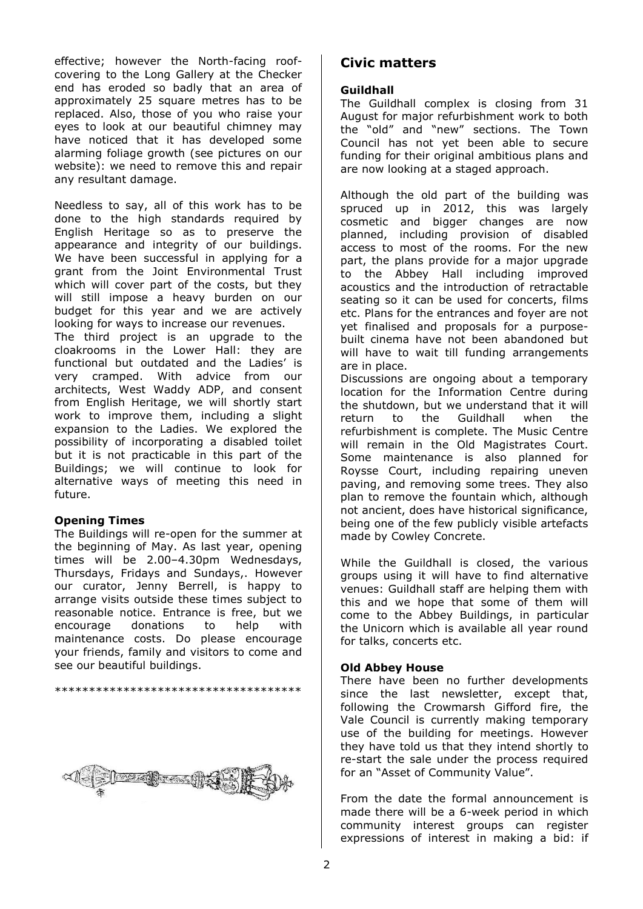effective; however the North-facing roofcovering to the Long Gallery at the Checker end has eroded so badly that an area of approximately 25 square metres has to be replaced. Also, those of you who raise your eyes to look at our beautiful chimney may have noticed that it has developed some alarming foliage growth (see pictures on our website): we need to remove this and repair any resultant damage.

Needless to say, all of this work has to be done to the high standards required by English Heritage so as to preserve the appearance and integrity of our buildings. We have been successful in applying for a grant from the Joint Environmental Trust which will cover part of the costs, but they will still impose a heavy burden on our budget for this year and we are actively looking for ways to increase our revenues.

The third project is an upgrade to the cloakrooms in the Lower Hall: they are functional but outdated and the Ladies' is very cramped. With advice from our architects, West Waddy ADP, and consent from English Heritage, we will shortly start work to improve them, including a slight expansion to the Ladies. We explored the possibility of incorporating a disabled toilet but it is not practicable in this part of the Buildings; we will continue to look for alternative ways of meeting this need in future.

#### **Opening Times**

The Buildings will re-open for the summer at the beginning of May. As last year, opening times will be 2.00–4.30pm Wednesdays, Thursdays, Fridays and Sundays,. However our curator, Jenny Berrell, is happy to arrange visits outside these times subject to reasonable notice. Entrance is free, but we encourage donations to help with maintenance costs. Do please encourage your friends, family and visitors to come and see our beautiful buildings.

\*\*\*\*\*\*\*\*\*\*\*\*\*\*\*\*\*\*\*\*\*\*\*\*\*\*\*\*\*\*\*\*\*\*\*\*

### **Civic matters**

#### **Guildhall**

The Guildhall complex is closing from 31 August for major refurbishment work to both the "old" and "new" sections. The Town Council has not yet been able to secure funding for their original ambitious plans and are now looking at a staged approach.

Although the old part of the building was spruced up in 2012, this was largely cosmetic and bigger changes are now planned, including provision of disabled access to most of the rooms. For the new part, the plans provide for a major upgrade to the Abbey Hall including improved acoustics and the introduction of retractable seating so it can be used for concerts, films etc. Plans for the entrances and foyer are not yet finalised and proposals for a purposebuilt cinema have not been abandoned but will have to wait till funding arrangements are in place.

Discussions are ongoing about a temporary location for the Information Centre during the shutdown, but we understand that it will return to the Guildhall when the refurbishment is complete. The Music Centre will remain in the Old Magistrates Court. Some maintenance is also planned for Roysse Court, including repairing uneven paving, and removing some trees. They also plan to remove the fountain which, although not ancient, does have historical significance, being one of the few publicly visible artefacts made by Cowley Concrete.

While the Guildhall is closed, the various groups using it will have to find alternative venues: Guildhall staff are helping them with this and we hope that some of them will come to the Abbey Buildings, in particular the Unicorn which is available all year round for talks, concerts etc.

#### **Old Abbey House**

There have been no further developments since the last newsletter, except that, following the Crowmarsh Gifford fire, the Vale Council is currently making temporary use of the building for meetings. However they have told us that they intend shortly to re-start the sale under the process required for an "Asset of Community Value".

From the date the formal announcement is made there will be a 6-week period in which community interest groups can register expressions of interest in making a bid: if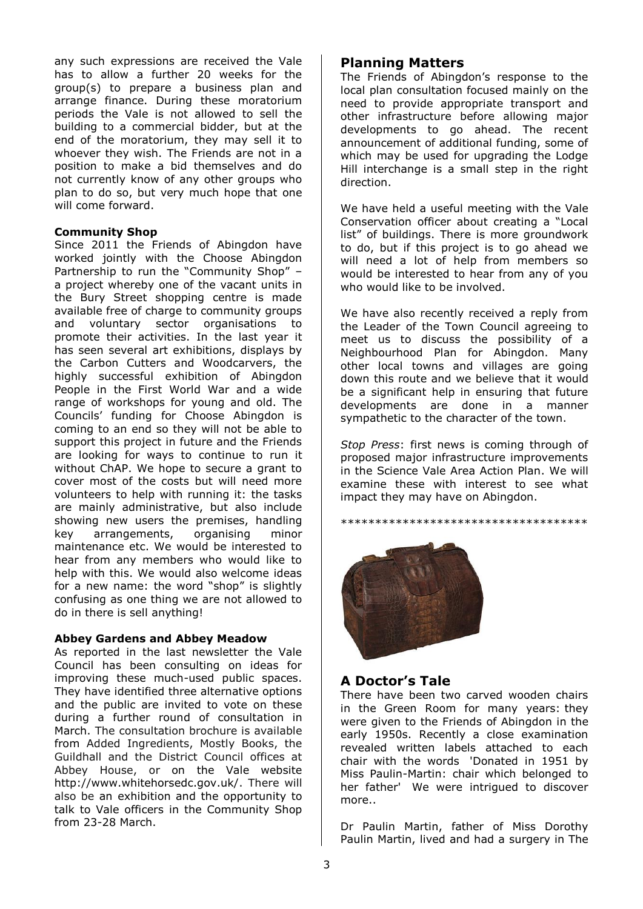any such expressions are received the Vale has to allow a further 20 weeks for the group(s) to prepare a business plan and arrange finance. During these moratorium periods the Vale is not allowed to sell the building to a commercial bidder, but at the end of the moratorium, they may sell it to whoever they wish. The Friends are not in a position to make a bid themselves and do not currently know of any other groups who plan to do so, but very much hope that one will come forward.

#### **Community Shop**

Since 2011 the Friends of Abingdon have worked jointly with the Choose Abingdon Partnership to run the "Community Shop" – a project whereby one of the vacant units in the Bury Street shopping centre is made available free of charge to community groups and voluntary sector organisations to promote their activities. In the last year it has seen several art exhibitions, displays by the Carbon Cutters and Woodcarvers, the highly successful exhibition of Abingdon People in the First World War and a wide range of workshops for young and old. The Councils' funding for Choose Abingdon is coming to an end so they will not be able to support this project in future and the Friends are looking for ways to continue to run it without ChAP. We hope to secure a grant to cover most of the costs but will need more volunteers to help with running it: the tasks are mainly administrative, but also include showing new users the premises, handling key arrangements, organising minor maintenance etc. We would be interested to hear from any members who would like to help with this. We would also welcome ideas for a new name: the word "shop" is slightly confusing as one thing we are not allowed to do in there is sell anything!

#### **Abbey Gardens and Abbey Meadow**

As reported in the last newsletter the Vale Council has been consulting on ideas for improving these much-used public spaces. They have identified three alternative options and the public are invited to vote on these during a further round of consultation in March. The consultation brochure is available from Added Ingredients, Mostly Books, the Guildhall and the District Council offices at Abbey House, or on the Vale website http://www.whitehorsedc.gov.uk/. There will also be an exhibition and the opportunity to talk to Vale officers in the Community Shop from 23-28 March.

### **Planning Matters**

The Friends of Abingdon's response to the local plan consultation focused mainly on the need to provide appropriate transport and other infrastructure before allowing major developments to go ahead. The recent announcement of additional funding, some of which may be used for upgrading the Lodge Hill interchange is a small step in the right direction.

We have held a useful meeting with the Vale Conservation officer about creating a "Local list" of buildings. There is more groundwork to do, but if this project is to go ahead we will need a lot of help from members so would be interested to hear from any of you who would like to be involved.

We have also recently received a reply from the Leader of the Town Council agreeing to meet us to discuss the possibility of a Neighbourhood Plan for Abingdon. Many other local towns and villages are going down this route and we believe that it would be a significant help in ensuring that future developments are done in a manner sympathetic to the character of the town.

*Stop Press*: first news is coming through of proposed major infrastructure improvements in the Science Vale Area Action Plan. We will examine these with interest to see what impact they may have on Abingdon.

\*\*\*\*\*\*\*\*\*\*\*\*\*\*\*\*\*\*\*\*\*\*\*\*\*\*\*\*\*\*\*\*\*\*\*\*



### **A Doctor's Tale**

There have been two carved wooden chairs in the Green Room for many years: they were given to the Friends of Abingdon in the early 1950s. Recently a close examination revealed written labels attached to each chair with the words 'Donated in 1951 by Miss Paulin-Martin: chair which belonged to her father' We were intrigued to discover more..

Dr Paulin Martin, father of Miss Dorothy Paulin Martin, lived and had a surgery in The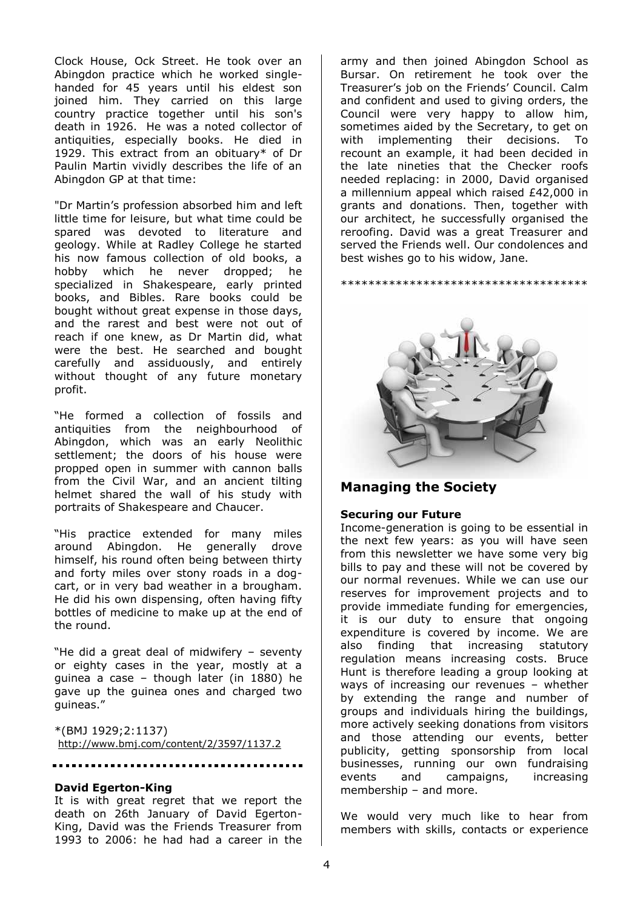Clock House, Ock Street. He took over an Abingdon practice which he worked singlehanded for 45 years until his eldest son joined him. They carried on this large country practice together until his son's death in 1926. He was a noted collector of antiquities, especially books. He died in 1929. This extract from an obituary\* of Dr Paulin Martin vividly describes the life of an Abingdon GP at that time:

"Dr Martin's profession absorbed him and left little time for leisure, but what time could be spared was devoted to literature and geology. While at Radley College he started his now famous collection of old books, a hobby which he never dropped; he specialized in Shakespeare, early printed books, and Bibles. Rare books could be bought without great expense in those days, and the rarest and best were not out of reach if one knew, as Dr Martin did, what were the best. He searched and bought carefully and assiduously, and entirely without thought of any future monetary profit.

"He formed a collection of fossils and antiquities from the neighbourhood of Abingdon, which was an early Neolithic settlement; the doors of his house were propped open in summer with cannon balls from the Civil War, and an ancient tilting helmet shared the wall of his study with portraits of Shakespeare and Chaucer.

"His practice extended for many miles around Abingdon. He generally drove himself, his round often being between thirty and forty miles over stony roads in a dogcart, or in very bad weather in a brougham. He did his own dispensing, often having fifty bottles of medicine to make up at the end of the round.

"He did a great deal of midwifery – seventy or eighty cases in the year, mostly at a guinea a case – though later (in 1880) he gave up the guinea ones and charged two guineas."

\*(BMJ 1929;2:1137) <http://www.bmj.com/content/2/3597/1137.2>

#### **David Egerton-King**

It is with great regret that we report the death on 26th January of David Egerton-King, David was the Friends Treasurer from 1993 to 2006: he had had a career in the

army and then joined Abingdon School as Bursar. On retirement he took over the Treasurer's job on the Friends' Council. Calm and confident and used to giving orders, the Council were very happy to allow him, sometimes aided by the Secretary, to get on with implementing their decisions. To recount an example, it had been decided in the late nineties that the Checker roofs needed replacing: in 2000, David organised a millennium appeal which raised £42,000 in grants and donations. Then, together with our architect, he successfully organised the reroofing. David was a great Treasurer and served the Friends well. Our condolences and best wishes go to his widow, Jane.

\*\*\*\*\*\*\*\*\*\*\*\*\*\*\*\*\*\*\*\*\*\*\*\*\*\*\*\*\*\*\*\*\*\*\*\*



### **Managing the Society**

#### **Securing our Future**

Income-generation is going to be essential in the next few years: as you will have seen from this newsletter we have some very big bills to pay and these will not be covered by our normal revenues. While we can use our reserves for improvement projects and to provide immediate funding for emergencies, it is our duty to ensure that ongoing expenditure is covered by income. We are also finding that increasing statutory regulation means increasing costs. Bruce Hunt is therefore leading a group looking at ways of increasing our revenues – whether by extending the range and number of groups and individuals hiring the buildings, more actively seeking donations from visitors and those attending our events, better publicity, getting sponsorship from local businesses, running our own fundraising events and campaigns, increasing membership – and more.

We would very much like to hear from members with skills, contacts or experience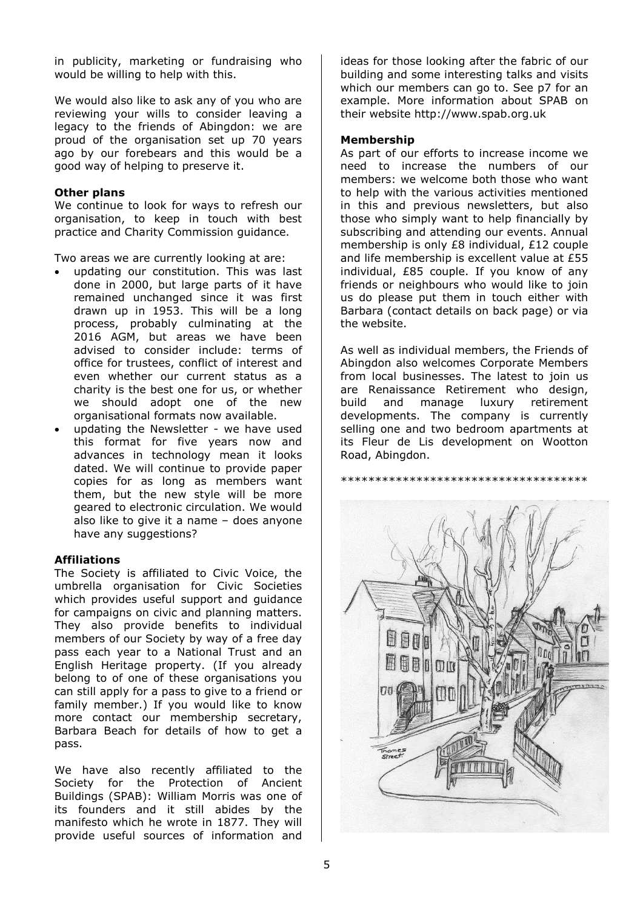in publicity, marketing or fundraising who would be willing to help with this.

We would also like to ask any of you who are reviewing your wills to consider leaving a legacy to the friends of Abingdon: we are proud of the organisation set up 70 years ago by our forebears and this would be a good way of helping to preserve it.

#### **Other plans**

We continue to look for ways to refresh our organisation, to keep in touch with best practice and Charity Commission guidance.

Two areas we are currently looking at are:

- updating our constitution. This was last done in 2000, but large parts of it have remained unchanged since it was first drawn up in 1953. This will be a long process, probably culminating at the 2016 AGM, but areas we have been advised to consider include: terms of office for trustees, conflict of interest and even whether our current status as a charity is the best one for us, or whether we should adopt one of the new organisational formats now available.
- updating the Newsletter we have used this format for five years now and advances in technology mean it looks dated. We will continue to provide paper copies for as long as members want them, but the new style will be more geared to electronic circulation. We would also like to give it a name – does anyone have any suggestions?

#### **Affiliations**

The Society is affiliated to Civic Voice, the umbrella organisation for Civic Societies which provides useful support and quidance for campaigns on civic and planning matters. They also provide benefits to individual members of our Society by way of a free day pass each year to a National Trust and an English Heritage property. (If you already belong to of one of these organisations you can still apply for a pass to give to a friend or family member.) If you would like to know more contact our membership secretary, Barbara Beach for details of how to get a pass.

We have also recently affiliated to the Society for the Protection of Ancient Buildings (SPAB): William Morris was one of its founders and it still abides by the manifesto which he wrote in 1877. They will provide useful sources of information and

ideas for those looking after the fabric of our building and some interesting talks and visits which our members can go to. See p7 for an example. More information about SPAB on their website http://www.spab.org.uk

#### **Membership**

As part of our efforts to increase income we need to increase the numbers of our members: we welcome both those who want to help with the various activities mentioned in this and previous newsletters, but also those who simply want to help financially by subscribing and attending our events. Annual membership is only £8 individual, £12 couple and life membership is excellent value at £55 individual, £85 couple. If you know of any friends or neighbours who would like to join us do please put them in touch either with Barbara (contact details on back page) or via the website.

As well as individual members, the Friends of Abingdon also welcomes Corporate Members from local businesses. The latest to join us are Renaissance Retirement who design, build and manage luxury retirement developments. The company is currently selling one and two bedroom apartments at its Fleur de Lis development on Wootton Road, Abingdon.



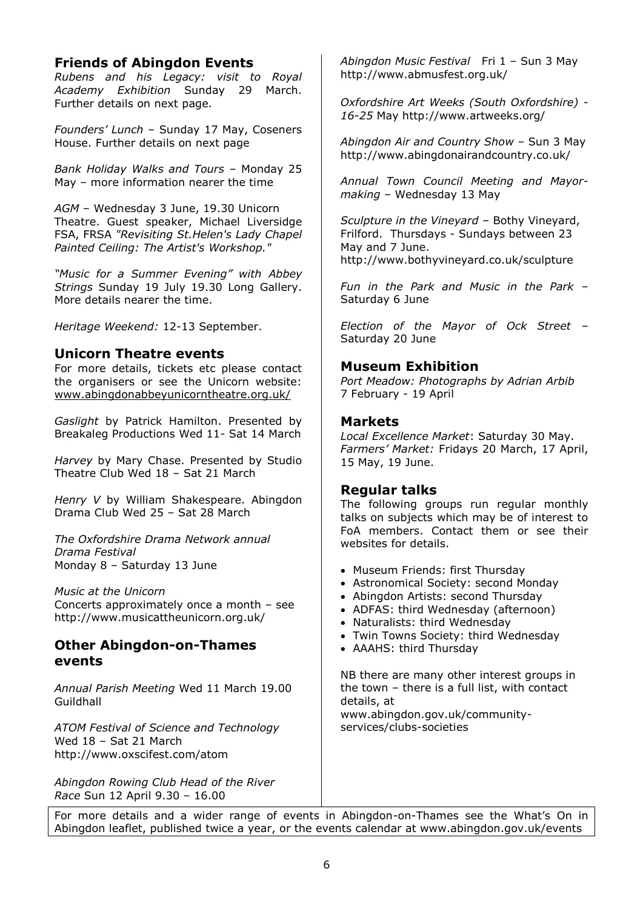### **Friends of Abingdon Events**

*Rubens and his Legacy: visit to Royal Academy Exhibition* Sunday 29 March. Further details on next page*.*

*Founders' Lunch* – Sunday 17 May, Coseners House. Further details on next page

*Bank Holiday Walks and Tours* – Monday 25 May – more information nearer the time

*AGM* – Wednesday 3 June, 19.30 Unicorn Theatre. Guest speaker, Michael Liversidge FSA, FRSA *"Revisiting St.Helen's Lady Chapel Painted Ceiling: The Artist's Workshop."*

*"Music for a Summer Evening" with Abbey Strings* Sunday 19 July 19.30 Long Gallery. More details nearer the time.

*Heritage Weekend:* 12-13 September.

### **Unicorn Theatre events**

For more details, tickets etc please contact the organisers or see the Unicorn website: [www.abingdonabbeyunicorntheatre.org.uk/](http://www.abingdonabbeyunicorntheatre.org.uk/)

*Gaslight* by Patrick Hamilton. Presented by Breakaleg Productions Wed 11- Sat 14 March

*Harvey* by Mary Chase. Presented by Studio Theatre Club Wed 18 – Sat 21 March

*Henry V* by William Shakespeare. Abingdon Drama Club Wed 25 – Sat 28 March

*The Oxfordshire Drama Network annual Drama Festival* Monday 8 – Saturday 13 June

*Music at the Unicorn* Concerts approximately once a month – see <http://www.musicattheunicorn.org.uk/>

### **Other Abingdon-on-Thames events**

*Annual Parish Meeting* Wed 11 March 19.00 **Guildhall** 

*ATOM Festival of Science and Technology* Wed 18 – Sat 21 March <http://www.oxscifest.com/atom>

*Abingdon Rowing Club Head of the River Race* Sun 12 April 9.30 – 16.00

*Abingdon Music Festival* Fri 1 – Sun 3 May <http://www.abmusfest.org.uk/>

*Oxfordshire Art Weeks (South Oxfordshire) - 16-25* May<http://www.artweeks.org/>

*Abingdon Air and Country Show* – Sun 3 May http://www.abingdonairandcountry.co.uk/

*Annual Town Council Meeting and Mayormaking* – Wednesday 13 May

*Sculpture in the Vineyard* – Bothy Vineyard, Frilford. Thursdays - Sundays between 23 May and 7 June. <http://www.bothyvineyard.co.uk/sculpture>

*Fun in the Park and Music in the Park* – Saturday 6 June

*Election of the Mayor of Ock Street* – Saturday 20 June

### **Museum Exhibition**

*Port Meadow: Photographs by Adrian Arbib* 7 February - 19 April

### **Markets**

*Local Excellence Market*: Saturday 30 May. *Farmers' Market:* Fridays 20 March, 17 April, 15 May, 19 June.

### **Regular talks**

The following groups run regular monthly talks on subjects which may be of interest to FoA members. Contact them or see their websites for details.

- Museum Friends: first Thursday
- Astronomical Society: second Monday
- Abingdon Artists: second Thursday
- ADFAS: third Wednesday (afternoon)
- Naturalists: third Wednesday
- Twin Towns Society: third Wednesday
- AAAHS: third Thursday

NB there are many other interest groups in the town – there is a full list, with contact details, at [www.abingdon.gov.uk/community](http://www.abingdon.gov.uk/community-services/clubs-societies)[services/clubs-societies](http://www.abingdon.gov.uk/community-services/clubs-societies)

For more details and a wider range of events in Abingdon-on-Thames see the What's On in Abingdon leaflet, published twice a year, or the events calendar at [www.abingdon.gov.uk/events](http://www.abingdon.gov.uk/events)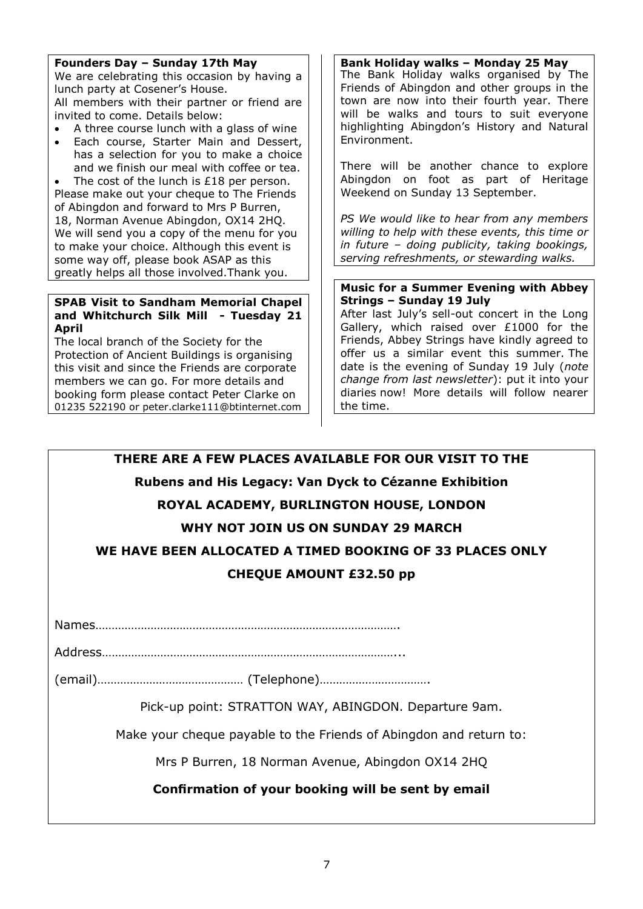#### **Founders Day – Sunday 17th May**

We are celebrating this occasion by having a lunch party at Cosener's House. All members with their partner or friend are invited to come. Details below:

- A three course lunch with a glass of wine
- Each course, Starter Main and Dessert, has a selection for you to make a choice and we finish our meal with coffee or tea.

 The cost of the lunch is £18 per person. Please make out your cheque to The Friends of Abingdon and forward to Mrs P Burren, 18, Norman Avenue Abingdon, OX14 2HQ. We will send you a copy of the menu for you to make your choice. Although this event is some way off, please book ASAP as this greatly helps all those involved.Thank you.

#### **SPAB Visit to Sandham Memorial Chapel and Whitchurch Silk Mill - Tuesday 21 April**

The local branch of the Society for the Protection of Ancient Buildings is organising this visit and since the Friends are corporate members we can go. For more details and booking form please contact Peter Clarke on 01235 522190 or peter.clarke111@btinternet.com

**Bank Holiday walks – Monday 25 May** The Bank Holiday walks organised by The Friends of Abingdon and other groups in the town are now into their fourth year. There will be walks and tours to suit everyone highlighting Abingdon's History and Natural Environment.

There will be another chance to explore Abingdon on foot as part of Heritage Weekend on Sunday 13 September.

*PS We would like to hear from any members willing to help with these events, this time or in future – doing publicity, taking bookings, serving refreshments, or stewarding walks.*

#### **Music for a Summer Evening with Abbey Strings – Sunday 19 July**

After last July's sell-out concert in the Long Gallery, which raised over £1000 for the Friends, Abbey Strings have kindly agreed to offer us a similar event this summer. The date is the evening of Sunday 19 July (*note change from last newsletter*): put it into your diaries now! More details will follow nearer the time.

## **THERE ARE A FEW PLACES AVAILABLE FOR OUR VISIT TO THE**

### **Rubens and His Legacy: Van Dyck to Cézanne Exhibition**

### **ROYAL ACADEMY, BURLINGTON HOUSE, LONDON**

### **WHY NOT JOIN US ON SUNDAY 29 MARCH**

**WE HAVE BEEN ALLOCATED A TIMED BOOKING OF 33 PLACES ONLY** 

### **CHEQUE AMOUNT £32.50 pp**

Names………………………………………………………………………………….

Address………………………………………………………………………………...

(email)……………………………………… (Telephone)…………………………….

Pick-up point: STRATTON WAY, ABINGDON. Departure 9am.

Make your cheque payable to the Friends of Abingdon and return to:

Mrs P Burren, 18 Norman Avenue, Abingdon OX14 2HQ

**Confirmation of your booking will be sent by email**